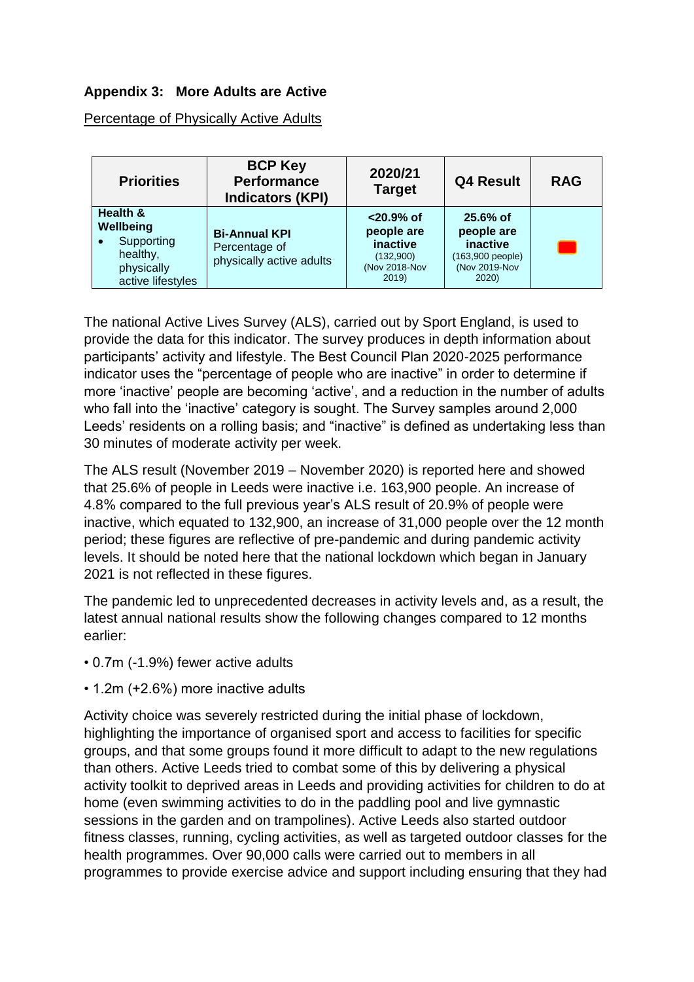## **Appendix 3: More Adults are Active**

Percentage of Physically Active Adults

| <b>Priorities</b>                                                                               | <b>BCP Key</b><br><b>Performance</b><br><b>Indicators (KPI)</b>   | 2020/21<br><b>Target</b>                                                     | <b>Q4 Result</b>                                                                  | <b>RAG</b> |
|-------------------------------------------------------------------------------------------------|-------------------------------------------------------------------|------------------------------------------------------------------------------|-----------------------------------------------------------------------------------|------------|
| Health &<br>Wellbeing<br>Supporting<br>$\bullet$<br>healthy,<br>physically<br>active lifestyles | <b>Bi-Annual KPI</b><br>Percentage of<br>physically active adults | $< 20.9%$ of<br>people are<br>inactive<br>(132,900)<br>(Nov 2018-Nov<br>2019 | $25.6%$ of<br>people are<br>inactive<br>(163,900 people)<br>(Nov 2019-Nov<br>2020 |            |

The national Active Lives Survey (ALS), carried out by Sport England, is used to provide the data for this indicator. The survey produces in depth information about participants' activity and lifestyle. The Best Council Plan 2020-2025 performance indicator uses the "percentage of people who are inactive" in order to determine if more 'inactive' people are becoming 'active', and a reduction in the number of adults who fall into the 'inactive' category is sought. The Survey samples around 2,000 Leeds' residents on a rolling basis; and "inactive" is defined as undertaking less than 30 minutes of moderate activity per week.

The ALS result (November 2019 – November 2020) is reported here and showed that 25.6% of people in Leeds were inactive i.e. 163,900 people. An increase of 4.8% compared to the full previous year's ALS result of 20.9% of people were inactive, which equated to 132,900, an increase of 31,000 people over the 12 month period; these figures are reflective of pre-pandemic and during pandemic activity levels. It should be noted here that the national lockdown which began in January 2021 is not reflected in these figures.

The pandemic led to unprecedented decreases in activity levels and, as a result, the latest annual national results show the following changes compared to 12 months earlier:

- 0.7m (-1.9%) fewer active adults
- 1.2m (+2.6%) more inactive adults

Activity choice was severely restricted during the initial phase of lockdown, highlighting the importance of organised sport and access to facilities for specific groups, and that some groups found it more difficult to adapt to the new regulations than others. Active Leeds tried to combat some of this by delivering a physical activity toolkit to deprived areas in Leeds and providing activities for children to do at home (even swimming activities to do in the paddling pool and live gymnastic sessions in the garden and on trampolines). Active Leeds also started outdoor fitness classes, running, cycling activities, as well as targeted outdoor classes for the health programmes. Over 90,000 calls were carried out to members in all programmes to provide exercise advice and support including ensuring that they had